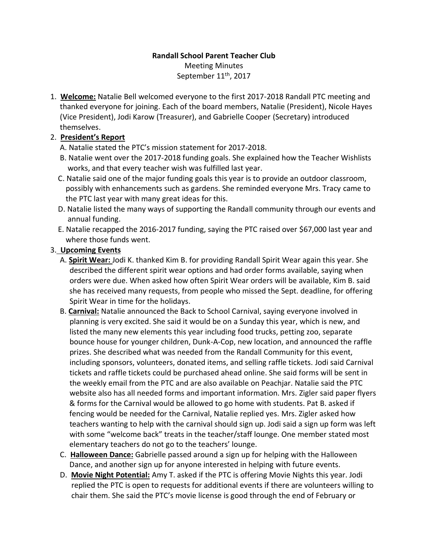## **Randall School Parent Teacher Club** Meeting Minutes September 11<sup>th</sup>, 2017

1. **Welcome:** Natalie Bell welcomed everyone to the first 2017-2018 Randall PTC meeting and thanked everyone for joining. Each of the board members, Natalie (President), Nicole Hayes (Vice President), Jodi Karow (Treasurer), and Gabrielle Cooper (Secretary) introduced themselves.

## 2. **President's Report**

- A. Natalie stated the PTC's mission statement for 2017-2018.
- B. Natalie went over the 2017-2018 funding goals. She explained how the Teacher Wishlists works, and that every teacher wish was fulfilled last year.
- C. Natalie said one of the major funding goals this year is to provide an outdoor classroom, possibly with enhancements such as gardens. She reminded everyone Mrs. Tracy came to the PTC last year with many great ideas for this.
- D. Natalie listed the many ways of supporting the Randall community through our events and annual funding.
- E. Natalie recapped the 2016-2017 funding, saying the PTC raised over \$67,000 last year and where those funds went.

## 3. **Upcoming Events**

- A. **Spirit Wear:** Jodi K. thanked Kim B. for providing Randall Spirit Wear again this year. She described the different spirit wear options and had order forms available, saying when orders were due. When asked how often Spirit Wear orders will be available, Kim B. said she has received many requests, from people who missed the Sept. deadline, for offering Spirit Wear in time for the holidays.
- B. **Carnival:** Natalie announced the Back to School Carnival, saying everyone involved in planning is very excited. She said it would be on a Sunday this year, which is new, and listed the many new elements this year including food trucks, petting zoo, separate bounce house for younger children, Dunk-A-Cop, new location, and announced the raffle prizes. She described what was needed from the Randall Community for this event, including sponsors, volunteers, donated items, and selling raffle tickets. Jodi said Carnival tickets and raffle tickets could be purchased ahead online. She said forms will be sent in the weekly email from the PTC and are also available on Peachjar. Natalie said the PTC website also has all needed forms and important information. Mrs. Zigler said paper flyers & forms for the Carnival would be allowed to go home with students. Pat B. asked if fencing would be needed for the Carnival, Natalie replied yes. Mrs. Zigler asked how teachers wanting to help with the carnival should sign up. Jodi said a sign up form was left with some "welcome back" treats in the teacher/staff lounge. One member stated most elementary teachers do not go to the teachers' lounge.
- C. **Halloween Dance:** Gabrielle passed around a sign up for helping with the Halloween Dance, and another sign up for anyone interested in helping with future events.
- D. **Movie Night Potential:** Amy T. asked if the PTC is offering Movie Nights this year. Jodi replied the PTC is open to requests for additional events if there are volunteers willing to chair them. She said the PTC's movie license is good through the end of February or